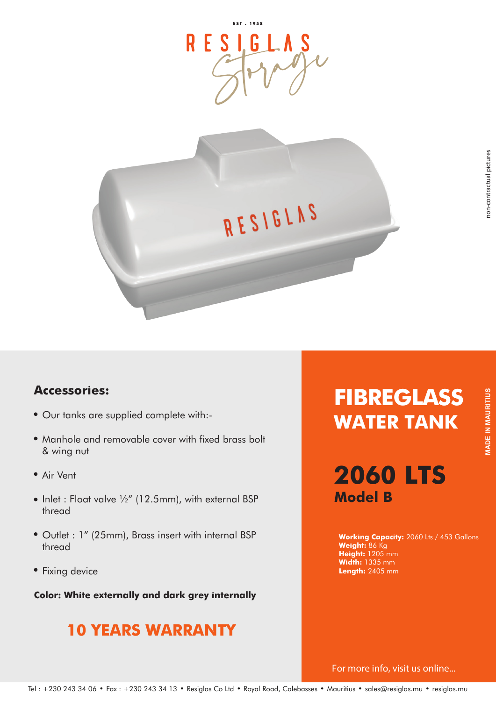

#### **Accessories:**

- Our tanks are supplied complete with:-
- Manhole and removable cover with fixed brass bolt & wing nut
- Air Vent
- $\bullet$  Inlet : Float valve  $\frac{1}{2}$ " (12.5mm), with external BSP thread
- Outlet : 1" (25mm), Brass insert with internal BSP thread
- Fixing device

**Color: White externally and dark grey internally**

## **10 YEARS WARRANTY**

# **FIBREGLASS WATER TANK**

## **2060 LTS Model B**

**Working Capacity:** 2060 Lts / 453 Gallons **Weight:** 86 Kg **Height:** 1205 mm **Width:** 1335 mm **Length:** 2405 mm

For more info, visit us online...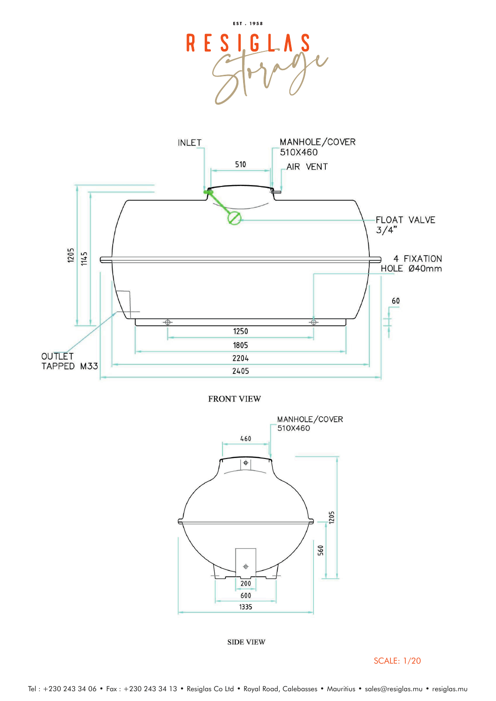



**FRONT VIEW** 



**SIDE VIEW** 

SCALE: 1/20